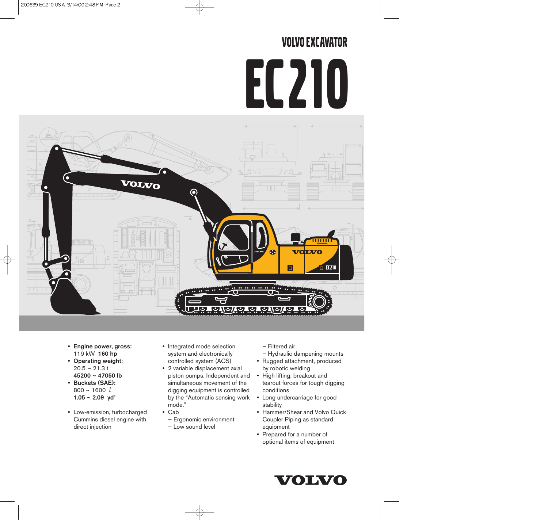# VOLVO EXCAVATOR



- Engine power, gross: 119 kW 160 hp
- Operating weight: 20.5 ~ 21.3 t 45200 ~ 47050 lb
- Buckets (SAE): 800 ~ 1600 *l*  $1.05 \sim 2.09$  yd<sup>3</sup>
- Low-emission, turbocharged Cummins diesel engine with direct injection
- Integrated mode selection system and electronically controlled system (ACS)
- 2 variable displacement axial piston pumps. Independent and simultaneous movement of the digging equipment is controlled by the "Automatic sensing work mode."
- Cab
	- Ergonomic environment
	- Low sound level

— Filtered air

- Hydraulic dampening mounts
- Rugged attachment, produced by robotic welding
- High lifting, breakout and tearout forces for tough digging conditions
- Long undercarriage for good stability
- Hammer/Shear and Volvo Quick Coupler Piping as standard equipment
- Prepared for a number of optional items of equipment

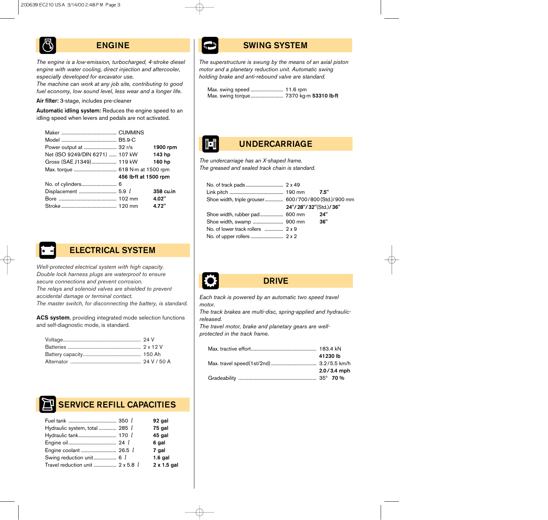### ENGINE

*The engine is a low-emission, turbocharged, 4-stroke diesel engine with water cooling, direct injection and aftercooler, especially developed for excavator use.*

*The machine can work at any job site, contributing to good fuel economy, low sound level, less wear and a longer life.*

Air filter: 3-stage, includes pre-cleaner

Automatic idling system: Reduces the engine speed to an idling speed when levers and pedals are not activated.

|                                 |                       | 1900 rpm  |
|---------------------------------|-----------------------|-----------|
| Net (ISO 9249/DIN 6271)  107 kW |                       | 143 hp    |
| Gross (SAE J1349) 119 kW        |                       | 160 hp    |
|                                 |                       |           |
|                                 | 456 lb-ft at 1500 rpm |           |
|                                 |                       |           |
|                                 |                       | 358 cu.in |
|                                 |                       | 4.02"     |
|                                 |                       | 4.72"     |



### ELECTRICAL SYSTEM

*Well-protected electrical system with high capacity. Double lock harness plugs are waterproof to ensure secure connections and prevent corrosion.*

*The relays and solenoid valves are shielded to prevent accidental damage or terminal contact.*

*The master switch, for disconnecting the battery, is standard.*

**ACS system**, providing integrated mode selection functions and self-diagnostic mode, is standard.



# SWING SYSTEM

*The superstructure is swung by the means of an axial piston motor and a planetary reduction unit. Automatic swing holding brake and anti-rebound valve are standard.*

Max. swing speed .......................... 11.6 rpm Max. swing torque ............................ 7370 kg·m 53310 lb·ft



# UNDERCARRIAGE

*The undercarriage has an X-shaped frame. The greased and sealed track chain is standard.*

| Shoe width, triple grouser 600/700/800 (Std.)/900 mm |                       |     |
|------------------------------------------------------|-----------------------|-----|
|                                                      | 24"/28"/32"(Std.)/36" |     |
|                                                      |                       | 24" |
|                                                      |                       | 36" |
|                                                      |                       |     |
|                                                      |                       |     |



### DRIVE

*Each track is powered by an automatic two speed travel motor.*

*The track brakes are multi-disc, spring-applied and hydraulicreleased.*

*The travel motor, brake and planetary gears are wellprotected in the track frame.*

| 41230 lb        |
|-----------------|
|                 |
| $2.0 / 3.4$ mph |
|                 |

# SERVICE REFILL CAPACITIES

|                                         | 92 gal      |
|-----------------------------------------|-------------|
| Hydraulic system, total  285 <i>l</i>   | 75 gal      |
|                                         | 45 gal      |
|                                         | 6 gal       |
|                                         | 7 gal       |
| Swing reduction unit 6 <i>l</i>         | $1.6$ gal   |
| Travel reduction unit  2 x 5.8 <i>l</i> | 2 x 1.5 gal |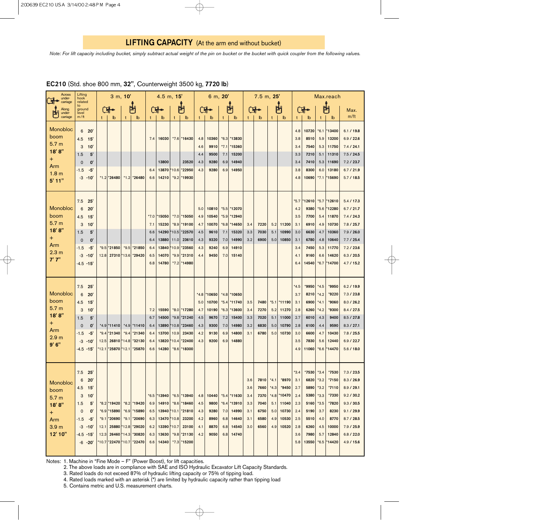*Note: For lift capacity including bucket, simply subtract actual weight of the pin on bucket or the bucket with quick coupler from the following values.*

| <b>Across</b><br>under-                                                                            | Lifting<br>hook                                                                                                                                                             |              | 3 m, 10'                                                                                 |                              |                                                                               |                                                  | $4.5$ m, $15'$                                                                   |                                    |                                                                                                      |                                                  | 6 m, 20'                                                 |                                              |                                                                     |                                               | $7.5$ m, $25'$                                       |                                              |                                                                     |                                                                       |                                                                                  |                                                                            | Max.reach                                                                                  |                                                                                                                                          |
|----------------------------------------------------------------------------------------------------|-----------------------------------------------------------------------------------------------------------------------------------------------------------------------------|--------------|------------------------------------------------------------------------------------------|------------------------------|-------------------------------------------------------------------------------|--------------------------------------------------|----------------------------------------------------------------------------------|------------------------------------|------------------------------------------------------------------------------------------------------|--------------------------------------------------|----------------------------------------------------------|----------------------------------------------|---------------------------------------------------------------------|-----------------------------------------------|------------------------------------------------------|----------------------------------------------|---------------------------------------------------------------------|-----------------------------------------------------------------------|----------------------------------------------------------------------------------|----------------------------------------------------------------------------|--------------------------------------------------------------------------------------------|------------------------------------------------------------------------------------------------------------------------------------------|
| carriage<br>Along                                                                                  | related<br>to<br>ground                                                                                                                                                     |              |                                                                                          |                              | 려                                                                             |                                                  |                                                                                  |                                    | 胡                                                                                                    |                                                  | 내                                                        |                                              | 벼                                                                   |                                               |                                                      |                                              | 門                                                                   |                                                                       |                                                                                  |                                                                            | 門                                                                                          | Max.                                                                                                                                     |
| under-<br>carriage                                                                                 | level<br>m/ft                                                                                                                                                               |              | $\mathbb{b}$                                                                             | t                            | $\mathbf{b}$                                                                  | t                                                | lb                                                                               | t                                  | $\mathbb{b}$                                                                                         | t                                                | lb                                                       | t                                            | $\mathbb{b}$                                                        | $\mathbf t$                                   | lb                                                   | t                                            | $\mathbf{b}$                                                        | t                                                                     | lb                                                                               | t                                                                          | $\mathbf{b}$                                                                               | m/ft                                                                                                                                     |
| <b>Monobloc</b><br>boom<br>5.7 <sub>m</sub><br>18'8"<br>$\pm$<br>Arm<br>1.8 <sub>m</sub><br>5'11"  | 6<br>20'<br>4.5<br>15'<br>3<br>10'<br>5'<br>1.5<br>$\mathbf{0}^{\prime}$<br>$\mathbf 0$<br>$-5'$<br>$-1.5$<br>$-3 - 10$                                                     |              | $*1.2 *26480$                                                                            |                              | $*1.2$ *26480                                                                 | 7.4<br>6.4<br>6.6                                | 16030<br>13800<br>13870<br>14210                                                 | *10.6                              | $*7.6 *16430$<br>23520<br>*22950<br>*9.2 *19930                                                      | 4.8<br>4.6<br>4.4<br>4.3<br>4.3                  | 10360<br>9910<br>9500<br>9280<br>9280                    | $*6.3$<br>$*7.1$<br>7.1<br>6.9<br>6.9        | *13830<br>*15360<br>15200<br>14940<br>14950                         |                                               |                                                      |                                              |                                                                     | 4.8<br>3.8<br>3.4<br>3.3<br>3.4<br>3.8<br>4.8                         | 10720<br>8510<br>7540<br>7210<br>7410<br>8300<br>10690                           | $*6.1$<br>5.9<br>5.3<br>5.1<br>5.3<br>6.0<br>$*7.1$                        | *13400<br>13200<br>11750<br>11310<br>11690<br>13180<br>*15690                              | 6.1 / 19.8<br>6.9 / 22.6<br>7.4 / 24.1<br>7.5/24.5<br>7.2/23.7<br>6.7 / 21.9<br>5.7/18.5                                                 |
| <b>Monobloc</b><br>boom<br>5.7 <sub>m</sub><br>18'8"<br>$\pm$<br>Arm<br>2.3 <sub>m</sub><br>7'7''  | 7.5<br>25'<br>6<br>20'<br>4.5<br>- 15'<br>10'<br>3<br>1.5<br>5'<br>0'<br>0<br>$-1.5$<br>-5<br>-3<br>$-10'$<br>-4.5 -15'                                                     |              | *9.5 * 21850<br>12.8 27310 13.6 * 29420                                                  | $*9.5$                       | *21850                                                                        | $*7.0$<br>7.1<br>6.6<br>6.4<br>6.4<br>6.5<br>6.8 | 15050<br>15230<br>14290<br>13880<br>13840<br>14070<br>14780                      | *10.5 <br>11.0<br>*10.9 <br>$*9.9$ | *7.0 *15050<br>*8.9 *19100<br>*22570<br>23610<br>23560*<br>*21310<br>*7.2 *14980                     | 5.0<br>4.9<br>4.7<br>4.5<br>4.3<br>4.3<br>4.4    | 10810<br>10540<br>10070<br>9610<br>9320<br>9240<br>9450  | $*5.9$<br>$*6.8$<br>7.1<br>7.0<br>6.9<br>7.0 | *5.5 *12070<br>*12940<br>*14650<br>15320<br>14990<br>14910<br>15140 | 3.4<br>3.3<br>3.2                             | 7220<br>7030<br>6900                                 | 5.2<br>5.1<br>5.0                            | 11200<br>10990<br>10850                                             | *5.7<br>4.2<br>3.5<br>3.1<br>3.0<br>3.1<br>3.4<br>4.1<br>6.4          | 12610<br>9380<br>7700<br>6910<br>6630<br>6780<br>7450<br>9160<br>14540           | $*5.7$<br>$*5.6$<br>5.4<br>4.9<br>4.7<br>4.8<br>5.3<br>6.6<br>$*6.7$       | *12610<br>*12280<br>11870<br>10730<br>10360<br>10640<br>11770<br>14620<br>*14700           | 5.4 / 17.3<br>6.7 / 21.7<br>7.4 / 24.3<br>7.8 / 25.7<br>7.9 / 26.0<br>7.7/25.4<br>7.2 / 23.6<br>6.3 / 20.5<br>4.7/15.2                   |
| <b>Monobloc</b><br>boom<br>5.7 <sub>m</sub><br>18'8"<br>$\pm$<br>Arm<br>2.9 <sub>m</sub><br>9' 6'' | 7.5<br>25'<br>6<br>20'<br>4.5<br>15<br>3<br>$10^{\circ}$<br>5'<br>1.5<br>$\mathbf 0$<br>$\mathbf{0}^{\prime}$<br>$-1.5$<br>-5<br>-3<br>-10<br>-4.5 -15'                     | 12.5<br>12.1 | *4.9 *11410<br>*9.4 * 21340<br>26810<br>*25870                                           | $*9.4$<br>$*14.8$<br>$*12.1$ | $*4.9$ *11410<br>*21340<br>*32130<br>25870                                    | 7.2<br>6.7<br>6.4<br>6.4<br>6.4<br>6.6           | 15590<br>14500<br>13890<br>13700<br>13820<br>14280                               | $*9.8$<br>*10.8<br>10.9<br>$*10.4$ | *8.0 *17280<br>*21240<br>*23460<br>23430<br>*22400<br>*8.6 *18300                                    | $*4.8$<br>5.0<br>4.7<br>4.5<br>4.3<br>4.2<br>4.3 | *10650<br>10700<br>10190<br>9670<br>9300<br>9130<br>9200 | $*5.4$<br>$*6.3$<br>7.2<br>7.0<br>6.9<br>6.9 | *4.8 *10650<br>*11740<br>*13600<br>15400<br>14980<br>14800<br>14880 | 3.5<br>3.4<br>3.3<br>3.2<br>3.1               | 7480<br>7270<br>7020<br>6830<br>6780                 | 5.2<br>5.1<br>5.0<br>5.0                     | $*5.1$ *11190<br>11270<br>11000<br>10790<br>10730                   | $*4.5$<br>3.7<br>3.1<br>2.8<br>2.7<br>2.8<br>3.0<br>3.5<br>4.9        | *9950  <br>8210<br>6900<br>6260<br>6010<br>6100<br>6600<br>7830<br>11060         | $*4.5$<br>$*4.2$<br>$*4.1$<br>$*4.2$<br>4.3<br>4.4<br>4.7<br>5.6<br>$*6.6$ | *9950<br>*9220<br>*9060<br>'9300<br>9400<br>9590<br>10430<br>12440<br>*14470               | 6.2 / 19.9<br>7.3 / 23.8<br>8.0 / 26.2<br>8.4 / 27.5<br>8.5 / 27.8<br>8.3 / 27.1<br>7.8 / 25.5<br>6.9 / 22.7<br>5.6 / 18.0               |
| Monobloc<br>boom<br>5.7 <sub>m</sub><br>18'8"<br>$^+$<br>Arm<br>3.9 <sub>m</sub><br>12' 10"        | 7.5<br>25<br>20'<br>6<br>$4.5$ 15'<br>3<br>- 10'<br>1.5<br>$5^{\prime}$<br>$\mathbf 0$<br>$\mathbf{0}^{\prime}$<br>$-1.5$<br>-5'<br>$-3 - 10'$<br>$-4.5 - 15$<br>$-6 - 20'$ | 12.1         | *8.2 * 19420<br>$*6.9$ *15890<br>*9.1 *20690<br>12.3 26460 * 14.3<br>$10.7$ *22470 *10.7 | $*9.1$                       | *8.2 *19420<br>*6.9 *15890<br>*20690<br>25880 12.8 *29020<br>*30820<br>*22470 | $*6.5$<br>6.9<br>6.5<br>6.2<br>6.3<br>6.6        | *13940<br>14910<br>$6.3$   13470 $\mid$ *10.8  <br>13390 *10.7<br>13630<br>14340 |                                    | $*6.5$ *13940<br>$*8.6 *18460$<br>13940 10.1 21810<br>23200<br>23100<br>$*9.8 *21130$<br>*7.3 *15200 | 4.8<br>4.5<br>4.3<br>4.2<br>4.1<br>4.2           | 10440<br>9800<br>9280<br>8960<br>8870<br>9050            | 7.0<br>6.8<br>6.8<br>6.8                     | *5.4 *11630<br>$*6.4 *13910$<br>14990<br>14640<br>14540<br>14740    | 3.6<br>3.6<br>3.4<br>3.3<br>3.1<br>3.1<br>3.0 | 7810<br>7660<br>7370<br>7040<br>6750<br>6580<br>6560 | $*4.1$<br>$*4.3$<br>5.1<br>5.0<br>4.9<br>4.9 | *8970<br>*9450<br>$*4.8 *10470$<br>11040<br>10730<br>10530<br>10520 | $*3.4$<br>3.1<br>2.7<br>2.4<br>2.3<br>2.4<br>2.5<br>2.8<br>3.6<br>5.8 | $*7530$<br>6820<br>5890<br>5380<br>5160<br>5190<br>5510<br>6260<br>7980<br>13550 | $*3.4$<br>$*3.2$<br>$*3.2$<br>$*3.3$<br>$*3.5$<br>3.7<br>4.0<br>4.5<br>5.7 | *7530<br>*7150<br>*7110<br>*7330<br>*7820<br>8230<br>8770<br>10000<br>12840<br>*6.5 *14420 | 7.3 / 23.5<br>8.3 / 26.9<br>8.9 / 29.1<br>9.2 / 30.2<br>9.3 / 30.5<br>9.1 / 29.9<br>8.7 / 28.5<br>7.9 / 25.9<br>6.8 / 22.0<br>4.9 / 15.6 |

#### EC210 (Std. shoe 800 mm, 32", Counterweight 3500 kg, 7720 lb)

Notes: 1. Machine in "Fine Mode – F" (Power Boost), for lift capacities.

2. The above loads are in compliance with SAE and ISO Hydraulic Excavator Lift Capacity Standards.

3. Rated loads do not exceed 87% of hydraulic lifting capacity or 75% of tipping load.

4. Rated loads marked with an asterisk (\*) are limited by hydraulic capacity rather than tipping load

5. Contains metric and U.S. measurement charts.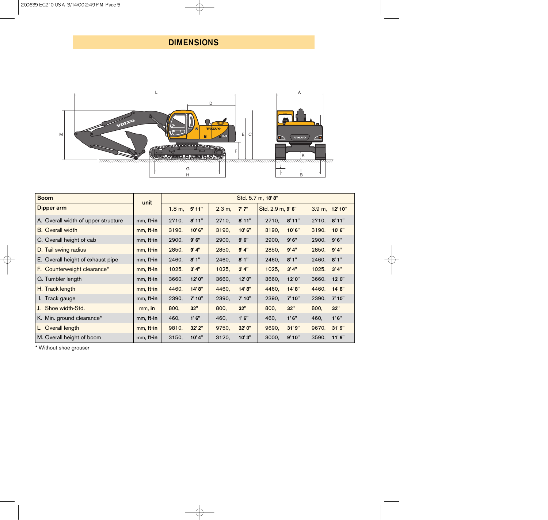# DIMENSIONS



| <b>Boom</b>                         | unit      | Std. 5.7 m, 18'8" |        |        |        |                   |        |                              |        |
|-------------------------------------|-----------|-------------------|--------|--------|--------|-------------------|--------|------------------------------|--------|
| Dipper arm                          |           | 1.8 m,            | 5'11"  | 2.3 m, | 7'7''  | Std. 2.9 m, 9' 6" |        | $3.9 \text{ m}$ , $12' 10''$ |        |
| A. Overall width of upper structure | mm, ft-in | 2710,             | 8'11'' | 2710,  | 8'11'' | 2710,             | 8'11"  | 2710, 8'11"                  |        |
| <b>B.</b> Overall width             | mm, ft-in | 3190,             | 10'6"  | 3190,  | 10'6"  | 3190,             | 10' 6" | 3190,                        | 10'6"  |
| C. Overall height of cab            | mm, ft-in | 2900,             | 9'6''  | 2900,  | 9' 6'' | 2900,             | 9'6''  | 2900,                        | 9'6''  |
| D. Tail swing radius                | mm, ft-in | 2850,             | 9'4"   | 2850,  | 9' 4'' | 2850,             | 9' 4'' | 2850,                        | 9' 4'' |
| E. Overall height of exhaust pipe   | mm, ft-in | 2460,             | 8'1''  | 2460,  | 8'1''  | 2460,             | 8'1''  | 2460,                        | 8'1''  |
| F. Counterweight clearance*         | mm, ft-in | 1025,             | 3'4''  | 1025,  | 3' 4'' | 1025,             | 3' 4'' | 1025,                        | 3' 4'' |
| G. Tumbler length                   | mm, ft-in | 3660,             | 12'0"  | 3660,  | 12' 0" | 3660,             | 12'0"  | 3660,                        | 12'0"  |
| H. Track length                     | mm, ft-in | 4460,             | 14'8"  | 4460,  | 14'8"  | 4460,             | 14'8"  | 4460,                        | 14'8"  |
| I. Track gauge                      | mm, ft-in | 2390,             | 7' 10" | 2390,  | 7' 10" | 2390,             | 7' 10" | 2390,                        | 7' 10" |
| J. Shoe width-Std.                  | mm, in    | 800,              | 32"    | 800,   | 32"    | 800,              | 32"    | 800,                         | 32"    |
| K. Min. ground clearance*           | mm, ft-in | 460,              | 1'6''  | 460,   | 1'6''  | 460,              | 1'6''  | 460,                         | 1'6''  |
| L. Overall length                   | mm, ft-in | 9810,             | 32' 2" | 9750,  | 32' 0" | 9690,             | 31'9'' | 9670,                        | 31'9'' |
| M. Overall height of boom           | mm, ft-in | 3150,             | 10' 4" | 3120,  | 10'3'' | 3000,             | 9' 10" | 3590,                        | 11' 9" |

\* Without shoe grouser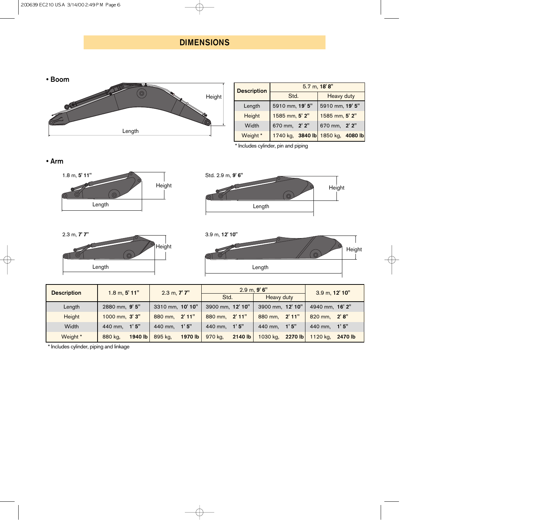# DIMENSIONS



| <b>Description</b> | $5.7$ m, $18'8''$ |                                   |  |  |  |  |  |  |  |
|--------------------|-------------------|-----------------------------------|--|--|--|--|--|--|--|
|                    | Std.              | Heavy duty                        |  |  |  |  |  |  |  |
| Length             | 5910 mm, 19' 5"   | 5910 mm, 19' 5"                   |  |  |  |  |  |  |  |
| Height             | 1585 mm, 5' 2"    | 1585 mm, 5' 2"                    |  |  |  |  |  |  |  |
| Width              | 670 mm, 2' 2"     | 670 mm, 2' 2"                     |  |  |  |  |  |  |  |
| Weight *           |                   | 1740 kg, 3840 lb 1850 kg, 4080 lb |  |  |  |  |  |  |  |

Height

\* Includes cylinder, pin and piping

• Arm



Std. 2.9 m, 9' 6" ( ©  $\circ$  $\sqrt{c}$ 

Length





| <b>Description</b> | $1.8$ m, $5'$ 11"  | $2.3$ m, $7'$ $7''$ | 2.9 m, 9' 6"       | 3.9 m, 12' 10"      |                     |  |
|--------------------|--------------------|---------------------|--------------------|---------------------|---------------------|--|
|                    |                    |                     | Std.               | <b>Heavy duty</b>   |                     |  |
| Length             | 2880 mm, 9' 5"     | 3310 mm, 10' 10"    | 3900 mm, 12' 10"   | 3900 mm, 12' 10"    | 4940 mm, 16' 2"     |  |
| Height             | 1000 mm, 3' 3"     | 880 mm, 2'11"       | 880 mm, 2'11"      | 880 mm, 2'11"       | 820 mm. 2'8"        |  |
| Width              | 440 mm, 1'5"       | 440 mm, 1'5"        | 440 mm, 1'5"       | 440 mm, 1'5"        | 440 mm. $1'5''$     |  |
| Weight *           | 1940 lb<br>880 kg, | 1970 lb<br>895 kg,  | 970 kg,<br>2140 lb | 2270 lb<br>1030 kg, | 1120 kg,<br>2470 lb |  |

\* Includes cylinder, piping and linkage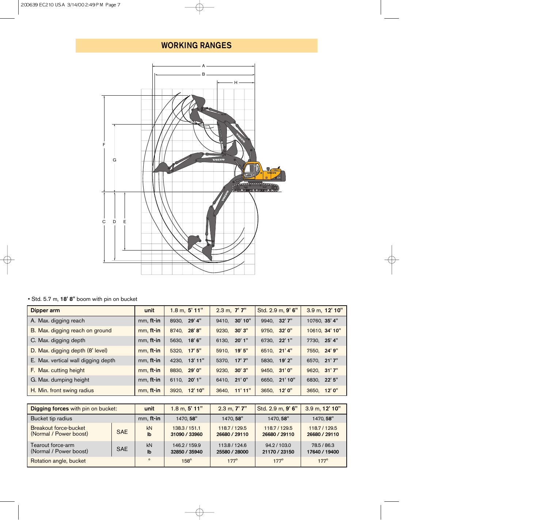# WORKING RANGES



• Std. 5.7 m, 18' 8" boom with pin on bucket

| Dipper arm                          | unit      | $1.8$ m, $5'$ 11" | $2.3$ m, $7'7''$ | Std. 2.9 m, 9' 6" | 3.9 m, 12' 10"  |
|-------------------------------------|-----------|-------------------|------------------|-------------------|-----------------|
| A. Max. digging reach               | mm, ft-in | 8930, 29' 4"      | 9410, 30'10"     | 9940, 32' 7"      | 10760, 35' 4"   |
| B. Max. digging reach on ground     | mm, ft-in | 28'8"<br>8740.    | 30' 3"<br>9230.  | 9750, 32' 0"      | 10610, 34' 10"  |
| C. Max. digging depth               | mm, ft-in | 18' 6"<br>5630,   | 20' 1"<br>6130.  | 6730, 22' 1"      | 7730, 25' 4"    |
| D. Max. digging depth (8' level)    | mm, ft-in | 5320, 17' 5"      | 5910. 19' 5"     | 6510, 21'4"       | 7550, 24' 9"    |
| E. Max. vertical wall digging depth | mm, ft-in | 4230, 13'11"      | 5370, 17'7"      | 5830, 19'2"       | 6570, 21'7"     |
| F. Max. cutting height              | mm, ft-in | 8830, 29' 0"      | 30' 3"<br>9230.  | 9450, 31'0"       | 9620, 31'7"     |
| G. Max. dumping height              | mm, ft-in | 20'1"<br>6110.    | 21'0"<br>6410.   | 21' 10"<br>6650.  | 6830, 22' 5"    |
| H. Min. front swing radius          | mm, ft-in | 3920, 12'10"      | 3640, 11'11"     | 12' 0"<br>3650,   | 12' 0"<br>3650, |

| Digging forces with pin on bucket:              |            | unit               | $1.8$ m, $5'$ 11"              | $2.3$ m, $7'$ $7''$            | Std. 2.9 m, 9' 6"             | 3.9 m, 12' 10"               |
|-------------------------------------------------|------------|--------------------|--------------------------------|--------------------------------|-------------------------------|------------------------------|
| Bucket tip radius                               |            | mm, ft-in          | 1470.58"                       | 1470.58"                       | 1470.58"                      | 1470.58"                     |
| Breakout force-bucket<br>(Normal / Power boost) | <b>SAE</b> | kN<br>$\mathbf{I}$ | 138.3 / 151.1<br>31090 / 33960 | 118.7/129.5<br>26680 / 29110   | 118.7/129.5<br>26680 / 29110  | 118.7/129.5<br>26680 / 29110 |
| Tearout force-arm<br>(Normal / Power boost)     | <b>SAE</b> | kN<br>lb           | 146.2 / 159.9<br>32850 / 35940 | 113.8 / 124.6<br>25580 / 28000 | 94.2 / 103.0<br>21170 / 23150 | 78.5 / 86.3<br>17640 / 19400 |
| Rotation angle, bucket                          |            | $\mathbf{o}$       | $158^\circ$                    | $177^\circ$                    | $177^\circ$                   | $177^\circ$                  |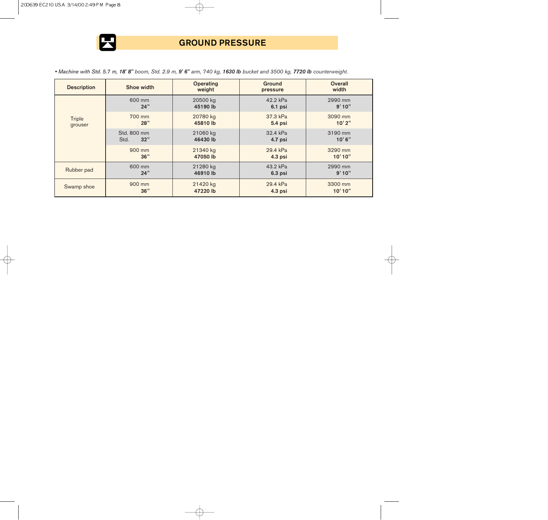

# GROUND PRESSURE

*• Machine with Std. 5.7 m, 18' 8" boom, Std. 2.9 m, 9' 6" arm, 740 kg, 1630 lb bucket and 3500 kg, 7720 lb counterweight.*

| <b>Description</b>       | Shoe width                            | <b>Operating</b><br>weight | <b>Ground</b><br>pressure | <b>Overall</b><br>width |
|--------------------------|---------------------------------------|----------------------------|---------------------------|-------------------------|
|                          | 600 mm<br>24"                         | 20500 kg<br>45190 lb       | 42.2 kPa<br>$6.1$ psi     | 2990 mm<br>9'10''       |
| <b>Triple</b><br>grouser | 700 mm<br>28"                         | 20780 kg<br>45810 lb       | 37.3 kPa<br>5.4 psi       | 3090 mm<br>10'2"        |
|                          | Std. 800 mm<br>32"<br>Std.            | 21060 kg<br>46430 lb       | 32.4 kPa<br>4.7 psi       | 3190 mm<br>10'6''       |
|                          | 900 mm<br>36"                         | 21340 kg<br>47050 lb       | 29.4 kPa<br>$4.3$ psi     | 3290 mm<br>10'10"       |
| Rubber pad               | 600 mm<br>24"                         | 21280 kg<br>46910 lb       | 43.2 kPa<br>$6.3$ psi     | 2990 mm<br>9'10"        |
| Swamp shoe               | 900 mm<br>21420 kg<br>36"<br>47220 lb |                            | 29.4 kPa<br>4.3 psi       | 3300 mm<br>10'10"       |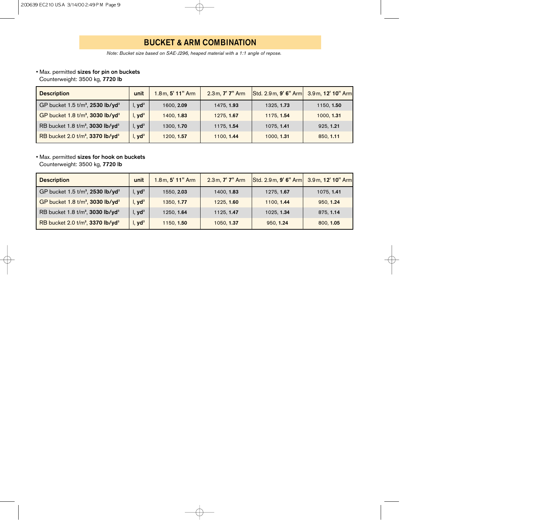# BUCKET & ARM COMBINATION

*Note: Bucket size based on SAE-J296, heaped material with a 1:1 angle of repose.*

### • Max. permitted sizes for pin on buckets

Counterweight: 3500 kg, 7720 lb

| <b>Description</b>                                       | unit               | 1.8m, 5' 11" Arm | 2.3 m, 7' 7" Arm | Std. 2.9 m, 9' 6" Arm 3.9 m, 12' 10" Arm |            |
|----------------------------------------------------------|--------------------|------------------|------------------|------------------------------------------|------------|
| GP bucket 1.5 t/m <sup>3</sup> , 2530 lb/yd <sup>3</sup> | 1, yd <sup>3</sup> | 1600, 2.09       | 1475, 1.93       | 1325, 1.73                               | 1150, 1.50 |
| GP bucket 1.8 t/m <sup>3</sup> , 3030 lb/yd <sup>3</sup> | I, yd <sup>3</sup> | 1400, 1.83       | 1275.1.67        | 1175, 1.54                               | 1000, 1.31 |
| RB bucket 1.8 t/m <sup>3</sup> , 3030 lb/yd <sup>3</sup> | I, yd <sup>3</sup> | 1300, 1.70       | 1175, 1.54       | 1075, 1.41                               | 925, 1.21  |
| RB bucket 2.0 t/m <sup>3</sup> , 3370 lb/yd <sup>3</sup> | , yd <sup>3</sup>  | 1200, 1.57       | 1100, 1.44       | 1000, 1.31                               | 850, 1.11  |

### • Max. permitted sizes for hook on buckets

Counterweight: 3500 kg, 7720 lb

| <b>Description</b>                                       | unit               | 1.8m, 5' 11" Arm | $2.3 m, 7' 7"$ Arm | Std. 2.9 m, 9' 6" Arm 3.9 m, 12' 10" Arm |            |
|----------------------------------------------------------|--------------------|------------------|--------------------|------------------------------------------|------------|
| GP bucket 1.5 t/m <sup>3</sup> , 2530 lb/yd <sup>3</sup> | 1, yd <sup>3</sup> | 1550, 2.03       | 1400, 1.83         | 1275, 1.67                               | 1075, 1.41 |
| GP bucket 1.8 t/m <sup>3</sup> , 3030 lb/yd <sup>3</sup> | 1, yd <sup>3</sup> | 1350, 1.77       | 1225, 1.60         | 1100, 1.44                               | 950, 1.24  |
| RB bucket 1.8 t/m <sup>3</sup> , 3030 lb/yd <sup>3</sup> | I, yd <sup>3</sup> | 1250, 1.64       | 1125, 1.47         | 1025, 1.34                               | 875, 1.14  |
| RB bucket 2.0 t/m <sup>3</sup> , 3370 lb/yd <sup>3</sup> | I, yd <sup>3</sup> | 1150.1.50        | 1050, 1.37         | 950, 1.24                                | 800.1.05   |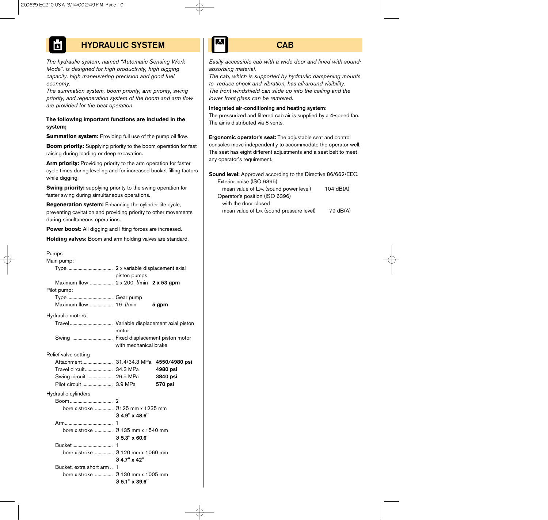# HYDRAULIC SYSTEM

*The hydraulic system, named "Automatic Sensing Work Mode", is designed for high productivity, high digging capacity, high maneuvering precision and good fuel economy.*

*The summation system, boom priority, arm priority, swing priority, and regeneration system of the boom and arm flow are provided for the best operation.*

#### **The following important functions are included in the system;**

**Summation system:** Providing full use of the pump oil flow.

**Boom priority:** Supplying priority to the boom operation for fast raising during loading or deep excavation.

**Arm priority:** Providing priority to the arm operation for faster cycle times during leveling and for increased bucket filling factors while digging.

**Swing priority:** supplying priority to the swing operation for faster swing during simultaneous operations.

**Regeneration system:** Enhancing the cylinder life cycle, preventing cavitation and providing priority to other movements during simultaneous operations.

**Power boost:** All digging and lifting forces are increased.

**Holding valves:** Boom and arm holding valves are standard.

| Pumps                                          |                                           |               |  |  |
|------------------------------------------------|-------------------------------------------|---------------|--|--|
| Main pump:                                     |                                           |               |  |  |
|                                                |                                           |               |  |  |
|                                                | piston pumps                              |               |  |  |
| Maximum flow  2 x 200 <i>l</i> /min 2 x 53 gpm |                                           |               |  |  |
| Pilot pump:                                    |                                           |               |  |  |
|                                                |                                           |               |  |  |
| Maximum flow  19 <i>l/min</i>                  |                                           | 5 gpm         |  |  |
| Hydraulic motors                               |                                           |               |  |  |
|                                                | Travel Variable displacement axial piston |               |  |  |
|                                                | motor                                     |               |  |  |
|                                                | Swing  Fixed displacement piston motor    |               |  |  |
|                                                | with mechanical brake                     |               |  |  |
| Relief valve setting                           |                                           |               |  |  |
|                                                |                                           | 4550/4980 psi |  |  |
| Travel circuit 34.3 MPa                        |                                           | 4980 psi      |  |  |
| Swing circuit  26.5 MPa                        |                                           | 3840 psi      |  |  |
| Pilot circuit  3.9 MPa                         |                                           | 570 psi       |  |  |
| Hydraulic cylinders                            |                                           |               |  |  |
|                                                | 2                                         |               |  |  |
|                                                | bore x stroke  Ø125 mm x 1235 mm          |               |  |  |
|                                                | Ø 4.9" x 48.6"                            |               |  |  |
|                                                | 1                                         |               |  |  |
|                                                |                                           |               |  |  |
|                                                | Ø 5.3" x 60.6"                            |               |  |  |
| Bucket                                         | 1                                         |               |  |  |
|                                                |                                           |               |  |  |
|                                                | Ø 4.7" x 42"                              |               |  |  |
| Bucket, extra short arm                        | 1                                         |               |  |  |
| bore x stroke                                  | Ø 130 mm x 1005 mm                        |               |  |  |
|                                                | Ø 5.1" x 39.6"                            |               |  |  |

### **CAB**

*Easily accessible cab with a wide door and lined with soundabsorbing material.*

*The cab, which is supported by hydraulic dampening mounts to reduce shock and vibration, has all-around visibility. The front windshield can slide up into the ceiling and the lower front glass can be removed.*

Integrated air-conditioning and heating system:

The pressurized and filtered cab air is supplied by a 4-speed fan. The air is distributed via 8 vents.

Ergonomic operator's seat: The adjustable seat and control consoles move independently to accommodate the operator well. The seat has eight different adjustments and a seat belt to meet any operator's requirement.

Sound level: Approved according to the Directive 86/662/EEC. Exterior noise (ISO 6395) mean value of  $L_{WA}$  (sound power level) 104  $dB(A)$ Operator's position (ISO 6396) with the door closed mean value of  $L_{PA}$  (sound pressure level)  $79 \text{ dB}(A)$